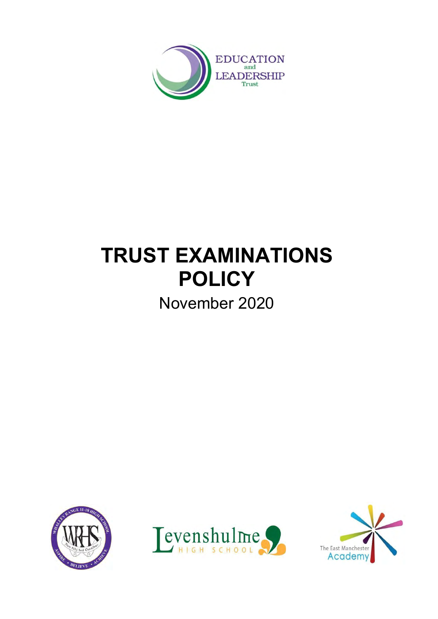

# **TRUST EXAMINATIONS POLICY**

November 2020





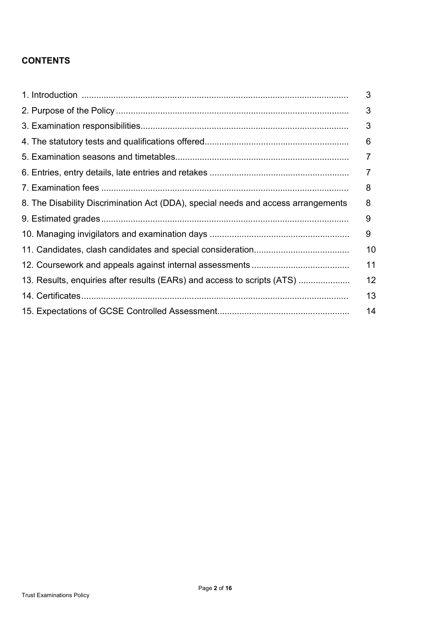## **CONTENTS**

|                                                                                   | 3  |
|-----------------------------------------------------------------------------------|----|
|                                                                                   | 3  |
|                                                                                   | 3  |
|                                                                                   | 6  |
|                                                                                   | 7  |
|                                                                                   | 7  |
|                                                                                   | 8  |
| 8. The Disability Discrimination Act (DDA), special needs and access arrangements | 8  |
|                                                                                   | 9  |
|                                                                                   | 9  |
|                                                                                   | 10 |
|                                                                                   | 11 |
| 13. Results, enquiries after results (EARs) and access to scripts (ATS)           | 12 |
|                                                                                   | 13 |
|                                                                                   | 14 |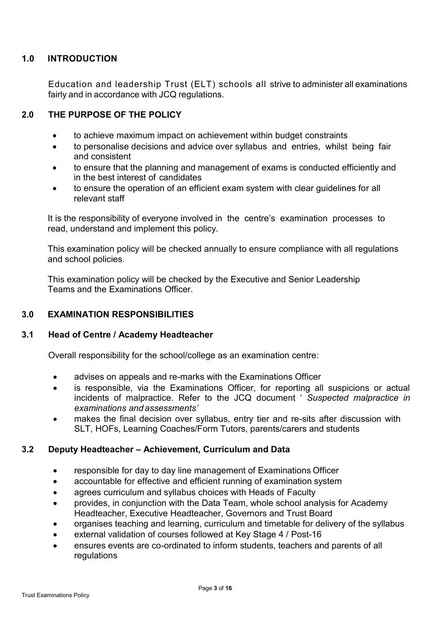## **1.0 INTRODUCTION**

Education and leadership Trust (ELT) schools all strive to administer all examinations fairly and in accordance with JCQ regulations.

## **2.0 THE PURPOSE OF THE POLICY**

- to achieve maximum impact on achievement within budget constraints
- to personalise decisions and advice over syllabus and entries, whilst being fair and consistent
- to ensure that the planning and management of exams is conducted efficiently and in the best interest of candidates
- to ensure the operation of an efficient exam system with clear guidelines for all relevant staff

It is the responsibility of everyone involved in the centre's examination processes to read, understand and implement this policy.

This examination policy will be checked annually to ensure compliance with all regulations and school policies.

This examination policy will be checked by the Executive and Senior Leadership Teams and the Examinations Officer.

## **3.0 EXAMINATION RESPONSIBILITIES**

#### **3.1 Head of Centre / Academy Headteacher**

Overall responsibility for the school/college as an examination centre:

- advises on appeals and re-marks with the Examinations Officer
- is responsible, via the Examinations Officer, for reporting all suspicions or actual incidents of malpractice. Refer to the JCQ document ' *Suspected malpractice in examinations and assessments'*
- makes the final decision over syllabus, entry tier and re-sits after discussion with SLT, HOFs, Learning Coaches/Form Tutors, parents/carers and students

## **3.2 Deputy Headteacher – Achievement, Curriculum and Data**

- responsible for day to day line management of Examinations Officer
- accountable for effective and efficient running of examination system
- agrees curriculum and syllabus choices with Heads of Faculty
- provides, in conjunction with the Data Team, whole school analysis for Academy Headteacher, Executive Headteacher, Governors and Trust Board
- organises teaching and learning, curriculum and timetable for delivery of the syllabus
- external validation of courses followed at Key Stage 4 / Post-16
- ensures events are co-ordinated to inform students, teachers and parents of all regulations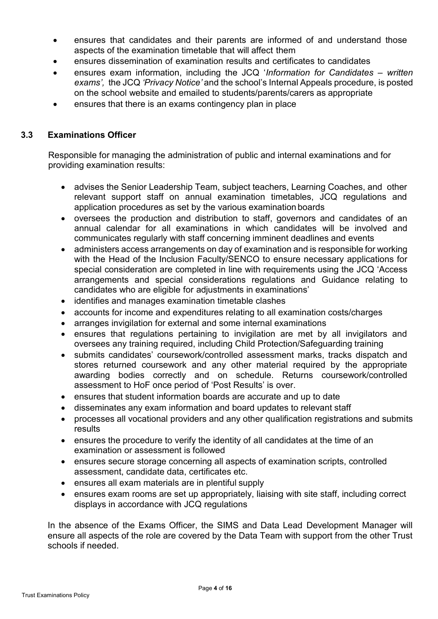- ensures that candidates and their parents are informed of and understand those aspects of the examination timetable that will affect them
- ensures dissemination of examination results and certificates to candidates
- ensures exam information, including the JCQ '*Information for Candidates – written exams',* the JCQ *'Privacy Notice'* and the school's Internal Appeals procedure, is posted on the school website and emailed to students/parents/carers as appropriate
- ensures that there is an exams contingency plan in place

## **3.3 Examinations Officer**

Responsible for managing the administration of public and internal examinations and for providing examination results:

- advises the Senior Leadership Team, subject teachers, Learning Coaches, and other relevant support staff on annual examination timetables, JCQ regulations and application procedures as set by the various examination boards
- oversees the production and distribution to staff, governors and candidates of an annual calendar for all examinations in which candidates will be involved and communicates regularly with staff concerning imminent deadlines and events
- administers access arrangements on day of examination and is responsible for working with the Head of the Inclusion Faculty/SENCO to ensure necessary applications for special consideration are completed in line with requirements using the JCQ 'Access arrangements and special considerations regulations and Guidance relating to candidates who are eligible for adjustments in examinations'
- identifies and manages examination timetable clashes
- accounts for income and expenditures relating to all examination costs/charges
- arranges invigilation for external and some internal examinations
- ensures that regulations pertaining to invigilation are met by all invigilators and oversees any training required, including Child Protection/Safeguarding training
- submits candidates' coursework/controlled assessment marks, tracks dispatch and stores returned coursework and any other material required by the appropriate awarding bodies correctly and on schedule. Returns coursework/controlled assessment to HoF once period of 'Post Results' is over.
- ensures that student information boards are accurate and up to date
- disseminates any exam information and board updates to relevant staff
- processes all vocational providers and any other qualification registrations and submits results
- ensures the procedure to verify the identity of all candidates at the time of an examination or assessment is followed
- ensures secure storage concerning all aspects of examination scripts, controlled assessment, candidate data, certificates etc.
- ensures all exam materials are in plentiful supply
- ensures exam rooms are set up appropriately, liaising with site staff, including correct displays in accordance with JCQ regulations

In the absence of the Exams Officer, the SIMS and Data Lead Development Manager will ensure all aspects of the role are covered by the Data Team with support from the other Trust schools if needed.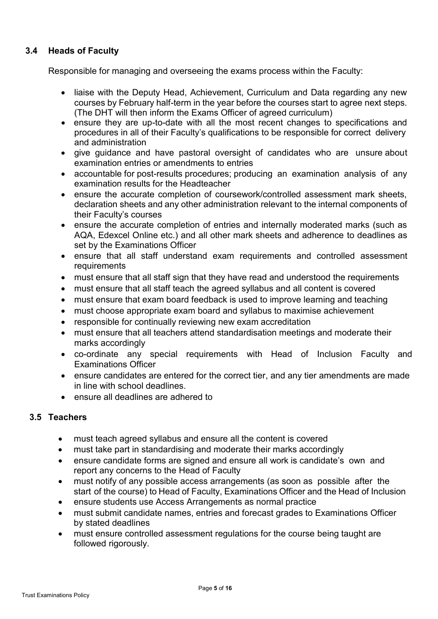## **3.4 Heads of Faculty**

Responsible for managing and overseeing the exams process within the Faculty:

- liaise with the Deputy Head, Achievement, Curriculum and Data regarding any new courses by February half-term in the year before the courses start to agree next steps. (The DHT will then inform the Exams Officer of agreed curriculum)
- ensure they are up-to-date with all the most recent changes to specifications and procedures in all of their Faculty's qualifications to be responsible for correct delivery and administration
- give guidance and have pastoral oversight of candidates who are unsure about examination entries or amendments to entries
- accountable for post-results procedures; producing an examination analysis of any examination results for the Headteacher
- ensure the accurate completion of coursework/controlled assessment mark sheets, declaration sheets and any other administration relevant to the internal components of their Faculty's courses
- ensure the accurate completion of entries and internally moderated marks (such as AQA, Edexcel Online etc.) and all other mark sheets and adherence to deadlines as set by the Examinations Officer
- ensure that all staff understand exam requirements and controlled assessment **requirements**
- must ensure that all staff sign that they have read and understood the requirements
- must ensure that all staff teach the agreed syllabus and all content is covered
- must ensure that exam board feedback is used to improve learning and teaching
- must choose appropriate exam board and syllabus to maximise achievement
- responsible for continually reviewing new exam accreditation
- must ensure that all teachers attend standardisation meetings and moderate their marks accordingly
- co-ordinate any special requirements with Head of Inclusion Faculty and Examinations Officer
- ensure candidates are entered for the correct tier, and any tier amendments are made in line with school deadlines.
- ensure all deadlines are adhered to

## **3.5 Teachers**

- must teach agreed syllabus and ensure all the content is covered
- must take part in standardising and moderate their marks accordingly
- ensure candidate forms are signed and ensure all work is candidate's own and report any concerns to the Head of Faculty
- must notify of any possible access arrangements (as soon as possible after the start of the course) to Head of Faculty, Examinations Officer and the Head of Inclusion
- ensure students use Access Arrangements as normal practice
- must submit candidate names, entries and forecast grades to Examinations Officer by stated deadlines
- must ensure controlled assessment regulations for the course being taught are followed rigorously.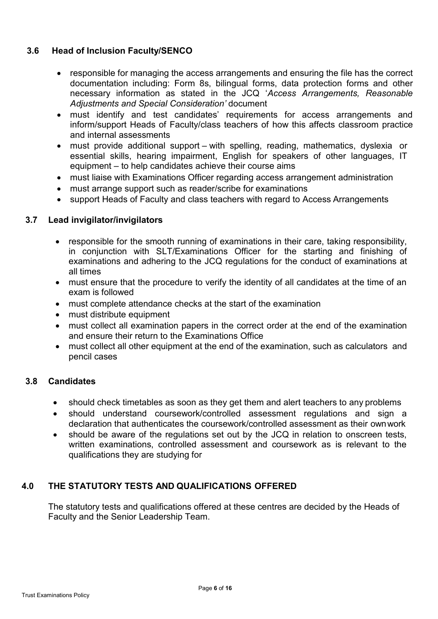## **3.6 Head of Inclusion Faculty/SENCO**

- responsible for managing the access arrangements and ensuring the file has the correct documentation including: Form 8s, bilingual forms, data protection forms and other necessary information as stated in the JCQ '*Access Arrangements, Reasonable Adjustments and Special Consideration'* document
- must identify and test candidates' requirements for access arrangements and inform/support Heads of Faculty/class teachers of how this affects classroom practice and internal assessments
- must provide additional support with spelling, reading, mathematics, dyslexia or essential skills, hearing impairment, English for speakers of other languages, IT equipment – to help candidates achieve their course aims
- must liaise with Examinations Officer regarding access arrangement administration
- must arrange support such as reader/scribe for examinations
- support Heads of Faculty and class teachers with regard to Access Arrangements

## **3.7 Lead invigilator/invigilators**

- responsible for the smooth running of examinations in their care, taking responsibility, in conjunction with SLT/Examinations Officer for the starting and finishing of examinations and adhering to the JCQ regulations for the conduct of examinations at all times
- must ensure that the procedure to verify the identity of all candidates at the time of an exam is followed
- must complete attendance checks at the start of the examination
- must distribute equipment
- must collect all examination papers in the correct order at the end of the examination and ensure their return to the Examinations Office
- must collect all other equipment at the end of the examination, such as calculators and pencil cases

#### **3.8 Candidates**

- should check timetables as soon as they get them and alert teachers to any problems
- should understand coursework/controlled assessment regulations and sign a declaration that authenticates the coursework/controlled assessment as their ownwork
- should be aware of the regulations set out by the JCQ in relation to onscreen tests, written examinations, controlled assessment and coursework as is relevant to the qualifications they are studying for

## **4.0 THE STATUTORY TESTS AND QUALIFICATIONS OFFERED**

The statutory tests and qualifications offered at these centres are decided by the Heads of Faculty and the Senior Leadership Team.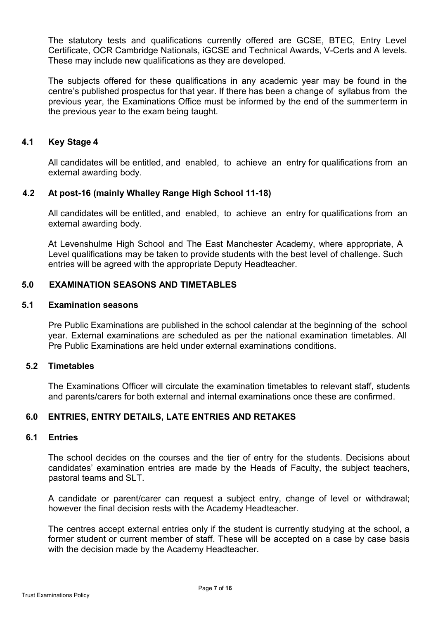The statutory tests and qualifications currently offered are GCSE, BTEC, Entry Level Certificate, OCR Cambridge Nationals, iGCSE and Technical Awards, V-Certs and A levels. These may include new qualifications as they are developed.

The subjects offered for these qualifications in any academic year may be found in the centre's published prospectus for that year. If there has been a change of syllabus from the previous year, the Examinations Office must be informed by the end of the summerterm in the previous year to the exam being taught.

## **4.1 Key Stage 4**

All candidates will be entitled, and enabled, to achieve an entry for qualifications from an external awarding body.

## **4.2 At post-16 (mainly Whalley Range High School 11-18)**

All candidates will be entitled, and enabled, to achieve an entry for qualifications from an external awarding body.

At Levenshulme High School and The East Manchester Academy, where appropriate, A Level qualifications may be taken to provide students with the best level of challenge. Such entries will be agreed with the appropriate Deputy Headteacher.

## **5.0 EXAMINATION SEASONS AND TIMETABLES**

## **5.1 Examination seasons**

Pre Public Examinations are published in the school calendar at the beginning of the school year. External examinations are scheduled as per the national examination timetables. All Pre Public Examinations are held under external examinations conditions.

## **5.2 Timetables**

The Examinations Officer will circulate the examination timetables to relevant staff, students and parents/carers for both external and internal examinations once these are confirmed.

## **6.0 ENTRIES, ENTRY DETAILS, LATE ENTRIES AND RETAKES**

## **6.1 Entries**

The school decides on the courses and the tier of entry for the students. Decisions about candidates' examination entries are made by the Heads of Faculty, the subject teachers, pastoral teams and SLT.

A candidate or parent/carer can request a subject entry, change of level or withdrawal; however the final decision rests with the Academy Headteacher.

The centres accept external entries only if the student is currently studying at the school, a former student or current member of staff. These will be accepted on a case by case basis with the decision made by the Academy Headteacher.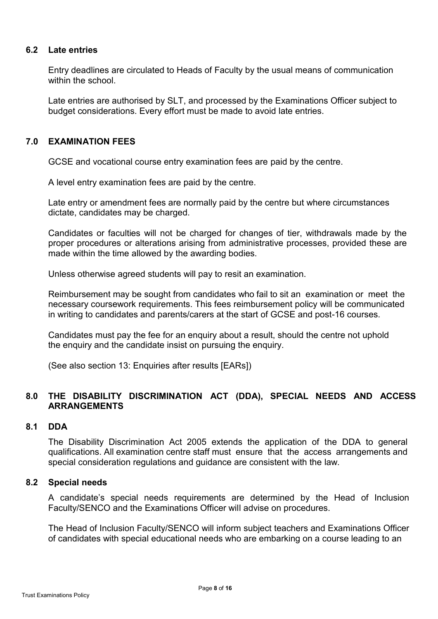#### **6.2 Late entries**

Entry deadlines are circulated to Heads of Faculty by the usual means of communication within the school

Late entries are authorised by SLT, and processed by the Examinations Officer subject to budget considerations. Every effort must be made to avoid late entries.

## **7.0 EXAMINATION FEES**

GCSE and vocational course entry examination fees are paid by the centre.

A level entry examination fees are paid by the centre.

Late entry or amendment fees are normally paid by the centre but where circumstances dictate, candidates may be charged.

Candidates or faculties will not be charged for changes of tier, withdrawals made by the proper procedures or alterations arising from administrative processes, provided these are made within the time allowed by the awarding bodies.

Unless otherwise agreed students will pay to resit an examination.

Reimbursement may be sought from candidates who fail to sit an examination or meet the necessary coursework requirements. This fees reimbursement policy will be communicated in writing to candidates and parents/carers at the start of GCSE and post-16 courses.

Candidates must pay the fee for an enquiry about a result, should the centre not uphold the enquiry and the candidate insist on pursuing the enquiry.

(See also section 13: Enquiries after results [EARs])

## **8.0 THE DISABILITY DISCRIMINATION ACT (DDA), SPECIAL NEEDS AND ACCESS ARRANGEMENTS**

#### **8.1 DDA**

The Disability Discrimination Act 2005 extends the application of the DDA to general qualifications. All examination centre staff must ensure that the access arrangements and special consideration regulations and guidance are consistent with the law.

#### **8.2 Special needs**

A candidate's special needs requirements are determined by the Head of Inclusion Faculty/SENCO and the Examinations Officer will advise on procedures.

The Head of Inclusion Faculty/SENCO will inform subject teachers and Examinations Officer of candidates with special educational needs who are embarking on a course leading to an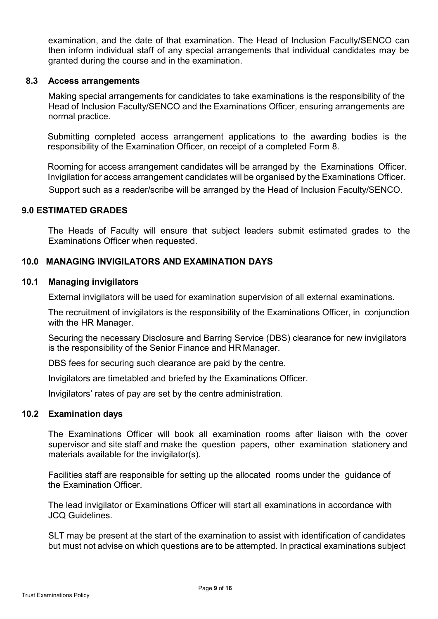examination, and the date of that examination. The Head of Inclusion Faculty/SENCO can then inform individual staff of any special arrangements that individual candidates may be granted during the course and in the examination.

#### **8.3 Access arrangements**

Making special arrangements for candidates to take examinations is the responsibility of the Head of Inclusion Faculty/SENCO and the Examinations Officer, ensuring arrangements are normal practice.

Submitting completed access arrangement applications to the awarding bodies is the responsibility of the Examination Officer, on receipt of a completed Form 8.

Rooming for access arrangement candidates will be arranged by the Examinations Officer. Invigilation for access arrangement candidates will be organised by the Examinations Officer. Support such as a reader/scribe will be arranged by the Head of Inclusion Faculty/SENCO.

#### **9.0 ESTIMATED GRADES**

The Heads of Faculty will ensure that subject leaders submit estimated grades to the Examinations Officer when requested.

## **10.0 MANAGING INVIGILATORS AND EXAMINATION DAYS**

#### **10.1 Managing invigilators**

External invigilators will be used for examination supervision of all external examinations.

The recruitment of invigilators is the responsibility of the Examinations Officer, in conjunction with the HR Manager.

Securing the necessary Disclosure and Barring Service (DBS) clearance for new invigilators is the responsibility of the Senior Finance and HR Manager.

DBS fees for securing such clearance are paid by the centre.

Invigilators are timetabled and briefed by the Examinations Officer.

Invigilators' rates of pay are set by the centre administration.

#### **10.2 Examination days**

The Examinations Officer will book all examination rooms after liaison with the cover supervisor and site staff and make the question papers, other examination stationery and materials available for the invigilator(s).

Facilities staff are responsible for setting up the allocated rooms under the guidance of the Examination Officer.

The lead invigilator or Examinations Officer will start all examinations in accordance with JCQ Guidelines.

SLT may be present at the start of the examination to assist with identification of candidates but must not advise on which questions are to be attempted. In practical examinations subject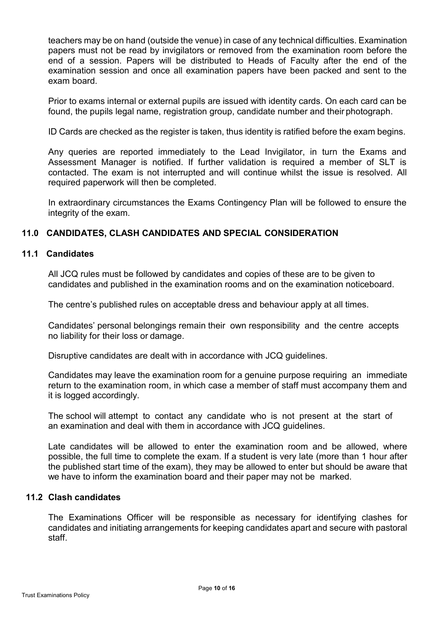teachers may be on hand (outside the venue) in case of any technical difficulties. Examination papers must not be read by invigilators or removed from the examination room before the end of a session. Papers will be distributed to Heads of Faculty after the end of the examination session and once all examination papers have been packed and sent to the exam board.

Prior to exams internal or external pupils are issued with identity cards. On each card can be found, the pupils legal name, registration group, candidate number and their photograph.

ID Cards are checked as the register is taken, thus identity is ratified before the exam begins.

Any queries are reported immediately to the Lead Invigilator, in turn the Exams and Assessment Manager is notified. If further validation is required a member of SLT is contacted. The exam is not interrupted and will continue whilst the issue is resolved. All required paperwork will then be completed.

In extraordinary circumstances the Exams Contingency Plan will be followed to ensure the integrity of the exam.

#### **11.0 CANDIDATES, CLASH CANDIDATES AND SPECIAL CONSIDERATION**

#### **11.1 Candidates**

All JCQ rules must be followed by candidates and copies of these are to be given to candidates and published in the examination rooms and on the examination noticeboard.

The centre's published rules on acceptable dress and behaviour apply at all times.

Candidates' personal belongings remain their own responsibility and the centre accepts no liability for their loss or damage.

Disruptive candidates are dealt with in accordance with JCQ guidelines.

Candidates may leave the examination room for a genuine purpose requiring an immediate return to the examination room, in which case a member of staff must accompany them and it is logged accordingly.

The school will attempt to contact any candidate who is not present at the start of an examination and deal with them in accordance with JCQ guidelines.

Late candidates will be allowed to enter the examination room and be allowed, where possible, the full time to complete the exam. If a student is very late (more than 1 hour after the published start time of the exam), they may be allowed to enter but should be aware that we have to inform the examination board and their paper may not be marked.

#### **11.2 Clash candidates**

The Examinations Officer will be responsible as necessary for identifying clashes for candidates and initiating arrangements for keeping candidates apart and secure with pastoral staff.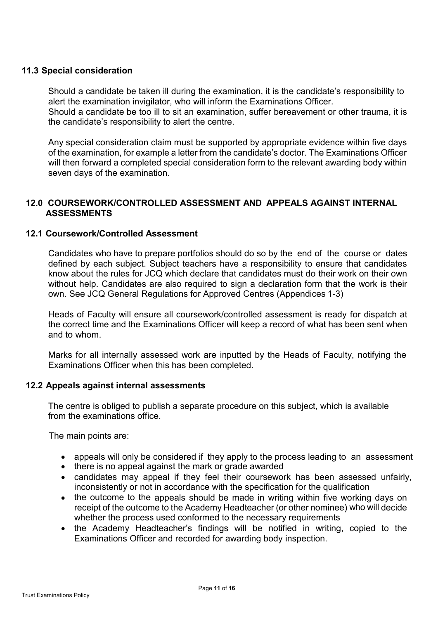## **11.3 Special consideration**

Should a candidate be taken ill during the examination, it is the candidate's responsibility to alert the examination invigilator, who will inform the Examinations Officer. Should a candidate be too ill to sit an examination, suffer bereavement or other trauma, it is the candidate's responsibility to alert the centre.

Any special consideration claim must be supported by appropriate evidence within five days of the examination, for example a letter from the candidate's doctor. The Examinations Officer will then forward a completed special consideration form to the relevant awarding body within seven days of the examination.

## **12.0 COURSEWORK/CONTROLLED ASSESSMENT AND APPEALS AGAINST INTERNAL ASSESSMENTS**

#### **12.1 Coursework/Controlled Assessment**

Candidates who have to prepare portfolios should do so by the end of the course or dates defined by each subject. Subject teachers have a responsibility to ensure that candidates know about the rules for JCQ which declare that candidates must do their work on their own without help. Candidates are also required to sign a declaration form that the work is their own. See JCQ General Regulations for Approved Centres (Appendices 1-3)

Heads of Faculty will ensure all coursework/controlled assessment is ready for dispatch at the correct time and the Examinations Officer will keep a record of what has been sent when and to whom.

Marks for all internally assessed work are inputted by the Heads of Faculty, notifying the Examinations Officer when this has been completed.

#### **12.2 Appeals against internal assessments**

The centre is obliged to publish a separate procedure on this subject, which is available from the examinations office.

The main points are:

- appeals will only be considered if they apply to the process leading to an assessment
- there is no appeal against the mark or grade awarded
- candidates may appeal if they feel their coursework has been assessed unfairly, inconsistently or not in accordance with the specification for the qualification
- the outcome to the appeals should be made in writing within five working days on receipt of the outcome to the Academy Headteacher (or other nominee) who will decide whether the process used conformed to the necessary requirements
- the Academy Headteacher's findings will be notified in writing, copied to the Examinations Officer and recorded for awarding body inspection.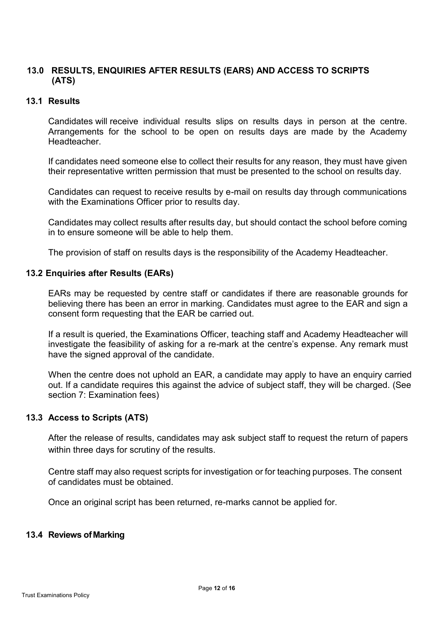## **13.0 RESULTS, ENQUIRIES AFTER RESULTS (EARS) AND ACCESS TO SCRIPTS (ATS)**

## **13.1 Results**

Candidates will receive individual results slips on results days in person at the centre. Arrangements for the school to be open on results days are made by the Academy **Headteacher** 

If candidates need someone else to collect their results for any reason, they must have given their representative written permission that must be presented to the school on results day.

Candidates can request to receive results by e-mail on results day through communications with the Examinations Officer prior to results day.

Candidates may collect results after results day, but should contact the school before coming in to ensure someone will be able to help them.

The provision of staff on results days is the responsibility of the Academy Headteacher.

#### **13.2 Enquiries after Results (EARs)**

EARs may be requested by centre staff or candidates if there are reasonable grounds for believing there has been an error in marking. Candidates must agree to the EAR and sign a consent form requesting that the EAR be carried out.

If a result is queried, the Examinations Officer, teaching staff and Academy Headteacher will investigate the feasibility of asking for a re-mark at the centre's expense. Any remark must have the signed approval of the candidate.

When the centre does not uphold an EAR, a candidate may apply to have an enquiry carried out. If a candidate requires this against the advice of subject staff, they will be charged. (See section 7: Examination fees)

#### **13.3 Access to Scripts (ATS)**

After the release of results, candidates may ask subject staff to request the return of papers within three days for scrutiny of the results.

Centre staff may also request scripts for investigation or for teaching purposes. The consent of candidates must be obtained.

Once an original script has been returned, re-marks cannot be applied for.

#### **13.4 Reviews ofMarking**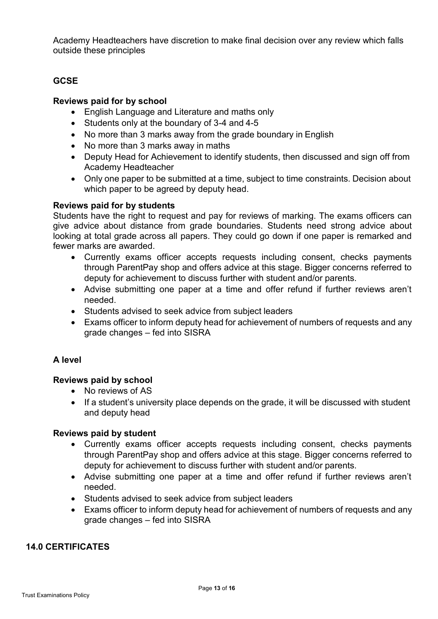Academy Headteachers have discretion to make final decision over any review which falls outside these principles

## **GCSE**

## **Reviews paid for by school**

- English Language and Literature and maths only
- Students only at the boundary of 3-4 and 4-5
- No more than 3 marks away from the grade boundary in English
- No more than 3 marks away in maths
- Deputy Head for Achievement to identify students, then discussed and sign off from Academy Headteacher
- Only one paper to be submitted at a time, subject to time constraints. Decision about which paper to be agreed by deputy head.

#### **Reviews paid for by students**

Students have the right to request and pay for reviews of marking. The exams officers can give advice about distance from grade boundaries. Students need strong advice about looking at total grade across all papers. They could go down if one paper is remarked and fewer marks are awarded.

- Currently exams officer accepts requests including consent, checks payments through ParentPay shop and offers advice at this stage. Bigger concerns referred to deputy for achievement to discuss further with student and/or parents.
- Advise submitting one paper at a time and offer refund if further reviews aren't needed.
- Students advised to seek advice from subject leaders
- Exams officer to inform deputy head for achievement of numbers of requests and any grade changes – fed into SISRA

## **A level**

## **Reviews paid by school**

- No reviews of AS
- If a student's university place depends on the grade, it will be discussed with student and deputy head

## **Reviews paid by student**

- Currently exams officer accepts requests including consent, checks payments through ParentPay shop and offers advice at this stage. Bigger concerns referred to deputy for achievement to discuss further with student and/or parents.
- Advise submitting one paper at a time and offer refund if further reviews aren't needed.
- Students advised to seek advice from subject leaders
- Exams officer to inform deputy head for achievement of numbers of requests and any grade changes – fed into SISRA

## **14.0 CERTIFICATES**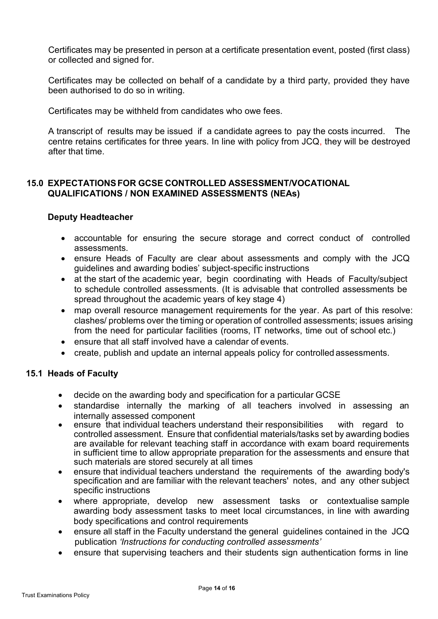Certificates may be presented in person at a certificate presentation event, posted (first class) or collected and signed for.

Certificates may be collected on behalf of a candidate by a third party, provided they have been authorised to do so in writing.

Certificates may be withheld from candidates who owe fees.

A transcript of results may be issued if a candidate agrees to pay the costs incurred. The centre retains certificates for three years. In line with policy from JCQ, they will be destroyed after that time.

## **15.0 EXPECTATIONSFOR GCSE CONTROLLED ASSESSMENT/VOCATIONAL QUALIFICATIONS / NON EXAMINED ASSESSMENTS (NEAs)**

## **Deputy Headteacher**

- accountable for ensuring the secure storage and correct conduct of controlled assessments.
- ensure Heads of Faculty are clear about assessments and comply with the JCQ guidelines and awarding bodies' subject-specific instructions
- at the start of the academic year, begin coordinating with Heads of Faculty/subject to schedule controlled assessments. (It is advisable that controlled assessments be spread throughout the academic years of key stage 4)
- map overall resource management requirements for the year. As part of this resolve: clashes/ problems over the timing or operation of controlled assessments; issues arising from the need for particular facilities (rooms, IT networks, time out of school etc.)
- ensure that all staff involved have a calendar of events.
- create, publish and update an internal appeals policy for controlled assessments.

#### **15.1 Heads of Faculty**

- decide on the awarding body and specification for a particular GCSE
- standardise internally the marking of all teachers involved in assessing an internally assessed component
- ensure that individual teachers understand their responsibilities with regard to controlled assessment. Ensure that confidential materials/tasks set by awarding bodies are available for relevant teaching staff in accordance with exam board requirements in sufficient time to allow appropriate preparation for the assessments and ensure that such materials are stored securely at all times
- ensure that individual teachers understand the requirements of the awarding body's specification and are familiar with the relevant teachers' notes, and any other subject specific instructions
- where appropriate, develop new assessment tasks or contextualise sample awarding body assessment tasks to meet local circumstances, in line with awarding body specifications and control requirements
- ensure all staff in the Faculty understand the general guidelines contained in the JCQ publication *'Instructions for conducting controlled assessments'*
- ensure that supervising teachers and their students sign authentication forms in line